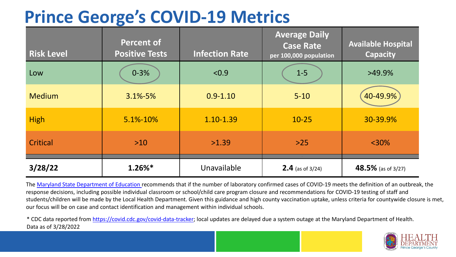## **Prince George's COVID-19 Metrics**

| <b>Risk Level</b> | <b>Percent of</b><br><b>Positive Tests</b> | <b>Infection Rate</b> | <b>Average Daily</b><br><b>Case Rate</b><br>per 100,000 population | <b>Available Hospital</b><br><b>Capacity</b> |
|-------------------|--------------------------------------------|-----------------------|--------------------------------------------------------------------|----------------------------------------------|
| Low               | $0 - 3%$                                   | < 0.9                 | $1 - 5$                                                            | $>49.9\%$                                    |
| <b>Medium</b>     | $3.1\% - 5\%$                              | $0.9 - 1.10$          | $5 - 10$                                                           | 40-49.9%                                     |
| <b>High</b>       | 5.1%-10%                                   | 1.10-1.39             | $10 - 25$                                                          | 30-39.9%                                     |
| Critical          | $>10$                                      | >1.39                 | $>25$                                                              | $<$ 30%                                      |
| 3/28/22           | $1.26\%$ *                                 | Unavailable           | <b>2.4</b> (as of $3/24$ )                                         | 48.5% (as of 3/27)                           |

The [Maryland State Department of Education](https://earlychildhood.marylandpublicschools.org/system/files/filedepot/3/covid_guidance_full_080420.pdf) recommends that if the number of laboratory confirmed cases of COVID-19 meets the definition of an outbreak, the response decisions, including possible individual classroom or school/child care program closure and recommendations for COVID-19 testing of staff and students/children will be made by the Local Health Department. Given this guidance and high county vaccination uptake, unless criteria for countywide closure is met, our focus will be on case and contact identification and management within individual schools.

\* CDC data reported from [https://covid.cdc.gov/covid-data-tracker;](https://covid.cdc.gov/covid-data-tracker) local updates are delayed due a system outage at the Maryland Department of Health. Data as of 3/28/2022

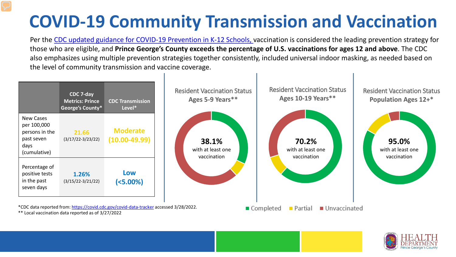## **COVID-19 Community Transmission and Vaccination**

Per the [CDC updated guidance for COVID-19 Prevention in K-12 Schools,](https://www.cdc.gov/coronavirus/2019-ncov/community/schools-childcare/k-12-guidance.html) vaccination is considered the leading prevention strategy for those who are eligible, and **Prince George's County exceeds the percentage of U.S. vaccinations for ages 12 and above**. The CDC also emphasizes using multiple prevention strategies together consistently, included universal indoor masking, as needed based on the level of community transmission and vaccine coverage.



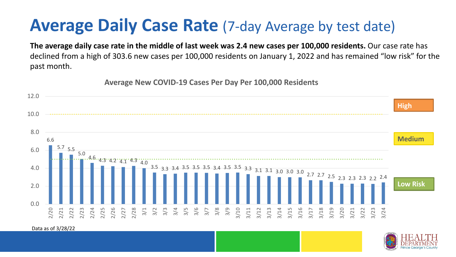## **Average Daily Case Rate** (7-day Average by test date)

**The average daily case rate in the middle of last week was 2.4 new cases per 100,000 residents.** Our case rate has declined from a high of 303.6 new cases per 100,000 residents on January 1, 2022 and has remained "low risk" for the past month.

**Average New COVID-19 Cases Per Day Per 100,000 Residents**



Data as of 3/28/22